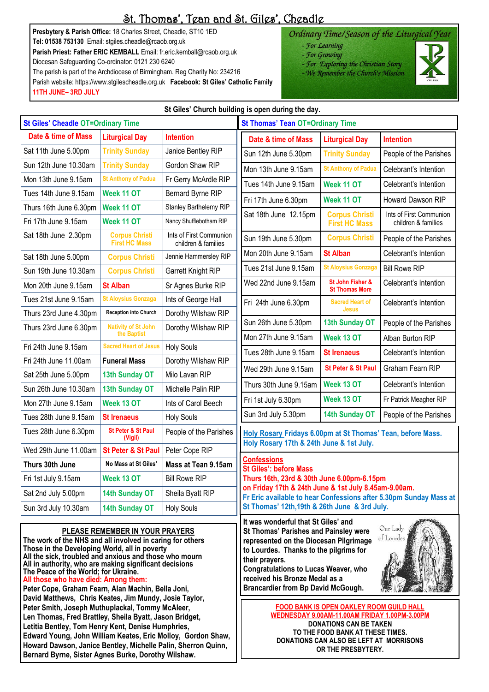# St. Thomas', Tean and St. Giles', Cheadle

**Presbytery & Parish Office:** 18 Charles Street, Cheadle, ST10 1ED **Tel: 01538 753130** Email: stgiles.cheadle@rcaob.org.uk **Parish Priest: Father ERIC KEMBALL** Email: fr.eric.kemball@rcaob.org.uk Diocesan Safeguarding Co-ordinator: 0121 230 6240 The parish is part of the Archdiocese of Birmingham. Reg Charity No: 234216

Parish website: https://www.stgilescheadle.org.uk **Facebook: St Giles' Catholic Fa**m**ily 11TH JUNE– 3RD JULY**

**Bernard Byrne, Sister Agnes Burke, Dorothy Wilshaw.**

### Ordinary Time/Season of the Liturgical Year

- For Learning
	- For Growing
- For Exploring the Christian Story
- We Remember the Church's Mission



**St Giles' Church building is open during the day. St Giles' Cheadle OT=Ordinary Time St Thomas' Tean OT=Ordinary Time Date & time of Mass Liturgical Day Intention Date & time of Mass Liturgical Day Intention** Sat 11th June 5.00pm | Trinity Sunday | Janice Bentley RIP Sun 12th June 5.30pm **Trinity Sunday** People of the Parishes Sun 12th June 10.30am Trinity Sunday | Gordon Shaw RIP Mon 13th June 9.15am **St Anthony of Padua** Celebrant's Intention Mon 13th June 9.15am St Anthony of Padua Fr Gerry McArdle RIP Tues 14th June 9.15am **Week 11 OT** Celebrant's Intention Tues 14th June 9.15am | Week 11 OT | Bernard Byrne RIP Fri 17th June 6.30pm **Week 11 OT** Howard Dawson RIP Thurs 16th June 6.30pm | Week 11 OT | Stanley Barthelemy RIP Sat 18th June 12.15pm **Corpus Christi** Ints of First Communion Fri 17th June 9.15am **Week 11 OT** Nancy Shufflebotham RIP children & families **First HC Mass** Sat 18th June 2.30pm **Corpus Christi** Ints of First Communion Sun 19th June 5.30pm **Corpus Christi** People of the Parishes **First HC Mass** children & families Mon 20th June 9.15am **St Alban Celebrant's Intention** Sat 18th June 5.00pm **Corpus Christi** Jennie Hammersley RIP Tues 21st June 9.15am St Aloysius Gonzaga Bill Rowe RIP Sun 19th June 10.30am | Corpus Christi | Garrett Knight RIP Wed 22nd June 9.15am St John Fisher & Celebrant's Intention Mon 20th June 9.15am **St Alban** St Agnes Burke RIP **St Thomas More** Tues 21st June 9.15am St Aloysius Gonzaga | Ints of George Hall Fri 24th June 6.30pm **Sacred Heart of**  Celebrant's Intention **Jesus** Thurs 23rd June 4.30pm **Reception into Church** Dorothy Wilshaw RIP Sun 26th June 5.30pm **13th Sunday OT** People of the Parishes Thurs 23rd June 6.30pm | Nativity of St John Dorothy Wilshaw RIP **the Baptist** Mon 27th June 9.15am **Week 13 OT** Alban Burton RIP Fri 24th June 9.15am **Sacred Heart of Jesus | Holy Souls** Tues 28th June 9.15am **St Irenaeus** Celebrant's Intention Fri 24th June 11.00am **Funeral Mass** Dorothy Wilshaw RIP Wed 29th June 9.15am **St Peter & St Paul Graham Fearn RIP** Sat 25th June 5.00pm | 13th Sunday OT | Milo Lavan RIP Thurs 30th June 9.15am **Week 13 OT** Celebrant's Intention Sun 26th June 10.30am | 13th Sunday OT | Michelle Palin RIP Fri 1st July 6.30pm **Week 13 OT** Fr Patrick Meagher RIP Mon 27th June 9.15am Week 13 OT lints of Carol Beech Sun 3rd July 5.30pm **14th Sunday OT** People of the Parishes Tues 28th June 9.15am **St Irenaeus** | Holy Souls Tues 28th June 6.30pm **St Peter & St Paul**  People of the Parishes **Holy Rosary Fridays 6.00pm at St Thomas' Tean, before Mass. (Vigil) Holy Rosary 17th & 24th June & 1st July.** Wed 29th June 11.00am | St Peter & St Paul | Peter Cope RIP **Confessions Thurs 30th June No Mass at St Giles' Mass at Tean 9.15am St Giles': before Mass** Fri 1st July 9.15am **Week 13 OT** Bill Rowe RIP **Thurs 16th, 23rd & 30th June 6.00pm-6.15pm on Friday 17th & 24th June & 1st July 8.45am-9.00am.**  Sat 2nd July 5.00pm | 14th Sunday OT | Sheila Byatt RIP **Fr Eric available to hear Confessions after 5.30pm Sunday Mass at St Thomas' 12th,19th & 26th June & 3rd July.** Sun 3rd July 10.30am | 14th Sunday OT | Holy Souls **It was wonderful that St Giles' and**  Our Lady **PLEASE REMEMBER IN YOUR PRAYERS St Thomas' Parishes and Painsley were**  of Lourdes **The work of the NHS and all involved in caring for others represented on the Diocesan Pilgrimage Those in the Developing World, all in poverty to Lourdes. Thanks to the pilgrims for All the sick, troubled and anxious and those who mourn their prayers. All in authority, who are making significant decisions Congratulations to Lucas Weaver, who The Peace of the World; for Ukraine. received his Bronze Medal as a All those who have died: Among them: Peter Cope, Graham Fearn, Alan Machin, Bella Joni, Brancardier from Bp David McGough.David Matthews, Chris Keates, Jim Mundy, Josie Taylor, FOOD BANK IS OPEN OAKLEY ROOM GUILD HALL Peter Smith, Joseph Muthuplackal, Tommy McAleer, WEDNESDAY 9.00AM-11.00AM FRIDAY 1.00PM-3.00PM Len Thomas, Fred Brattley, Sheila Byatt, Jason Bridget, DONATIONS CAN BE TAKEN Letitia Bentley, Tom Henry Kent, Denise Humphries, TO THE FOOD BANK AT THESE TIMES. Edward Young, John William Keates, Eric Molloy, Gordon Shaw, DONATIONS CAN ALSO BE LEFT AT MORRISONS Howard Dawson, Janice Bentley, Michelle Palin, Sherron Quinn, OR THE PRESBYTERY.**